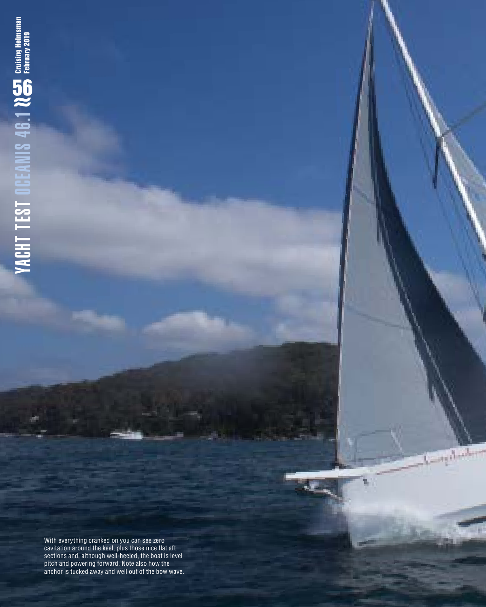With everything cranked on you can see zero cavitation around the keel, plus those nice flat aft sections and, although well-heeled, the boat is level pitch and powering forward. Note also how the anchor is tucked away and well out of the bow wave. ı

æ.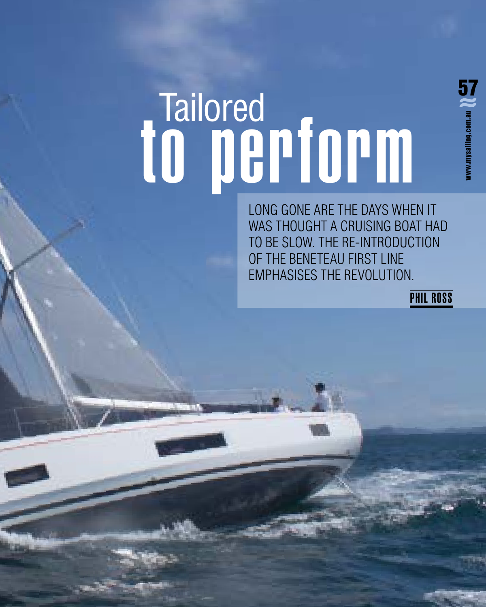# to perform Tailored<br>0 mgnfonm

LONG GONE ARE THE DAYS WHEN IT WAS THOUGHT A CRUISING BOAT HAD TO BE SLOW. THE RE-INTRODUCTION OF THE BENETEAU FIRST LINE EMPHASISES THE REVOLUTION.

PHIL ROSS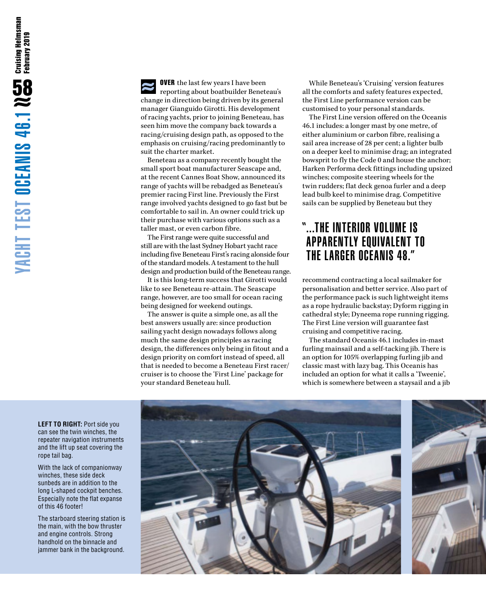**OVER** the last few years I have been reporting about boatbuilder Beneteau's change in direction being driven by its general manager Gianguido Girotti. His development of racing yachts, prior to joining Beneteau, has seen him move the company back towards a racing/cruising design path, as opposed to the emphasis on cruising/racing predominantly to suit the charter market.

Beneteau as a company recently bought the small sport boat manufacturer Seascape and, at the recent Cannes Boat Show, announced its range of yachts will be rebadged as Beneteau's premier racing First line. Previously the First range involved yachts designed to go fast but be comfortable to sail in. An owner could trick up their purchase with various options such as a taller mast, or even carbon fibre.

The First range were quite successful and still are with the last Sydney Hobart yacht race including five Beneteau First's racing alonside four of the standard models. A testament to the hull design and production build of the Beneteau range.

It is this long-term success that Girotti would like to see Beneteau re-attain. The Seascape range, however, are too small for ocean racing being designed for weekend outings.

The answer is quite a simple one, as all the best answers usually are: since production sailing yacht design nowadays follows along much the same design principles as racing design, the differences only being in fitout and a design priority on comfort instead of speed, all that is needed to become a Beneteau First racer/ cruiser is to choose the 'First Line' package for your standard Beneteau hull.

While Beneteau's 'Cruising' version features all the comforts and safety features expected, the First Line performance version can be customised to your personal standards.

The First Line version offered on the Oceanis 46.1 includes: a longer mast by one metre, of either aluminium or carbon fibre, realising a sail area increase of 28 per cent; a lighter bulb on a deeper keel to minimise drag; an integrated bowsprit to fly the Code 0 and house the anchor; Harken Performa deck fittings including upsized winches; composite steering wheels for the twin rudders; flat deck genoa furler and a deep lead bulb keel to minimise drag. Competitive sails can be supplied by Beneteau but they

# "...THE INTERIOR VOLUME IS APPARENTLY EQUIVALENT TO THE LARGER OCEANIS 48."

recommend contracting a local sailmaker for personalisation and better service. Also part of the performance pack is such lightweight items as a rope hydraulic backstay; Dyform rigging in cathedral style; Dyneema rope running rigging. The First Line version will guarantee fast cruising and competitive racing.

The standard Oceanis 46.1 includes in-mast furling mainsail and a self-tacking jib. There is an option for 105% overlapping furling jib and classic mast with lazy bag. This Oceanis has included an option for what it calls a 'Tweenie', which is somewhere between a staysail and a jib



**LEFT TO RIGHT:** Port side you can see the twin winches, the repeater navigation instruments and the lift up seat covering the rope tail bag.

With the lack of companionway winches, these side deck sunbeds are in addition to the long L-shaped cockpit benches. Especially note the flat expanse of this 46 footer!

The starboard steering station is the main, with the bow thruster and engine controls. Strong handhold on the binnacle and jammer bank in the background.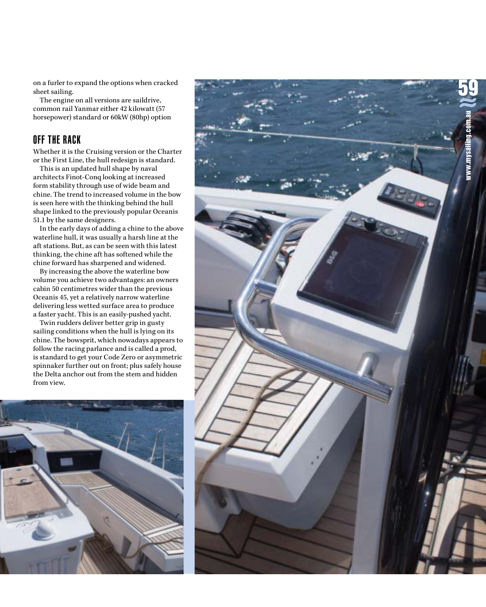on a furler to expand the options when cracked sheet sailing.

The engine on all versions are saildrive, common rail Yanmar either 42 kilowatt (57 horsepower) standard or 60kW (80hp) option

# OFF THE RACK

Whether it is the Cruising version or the Charter or the First Line, the hull redesign is standard.

This is an updated hull shape by naval architects Finot-Conq looking at increased form stability through use of wide beam and chine. The trend to increased volume in the bow is seen here with the thinking behind the hull shape linked to the previously popular Oceanis 51.1 by the same designers.

In the early days of adding a chine to the above waterline hull, it was usually a harsh line at the aft stations. But, as can be seen with this latest thinking, the chine aft has softened while the chine forward has sharpened and widened.

By increasing the above the waterline bow volume you achieve two advantages: an owners cabin 50 centimetres wider than the previous Oceanis 45, yet a relatively narrow waterline delivering less wetted surface area to produce a faster yacht. This is an easily-pushed yacht.

Twin rudders deliver better grip in gusty sailing conditions when the hull is lying on its chine. The bowsprit, which nowadays appears to follow the racing parlance and is called a prod, is standard to get your Code Zero or asymmetric spinnaker further out on front; plus safely house the Delta anchor out from the stem and hidden from view.



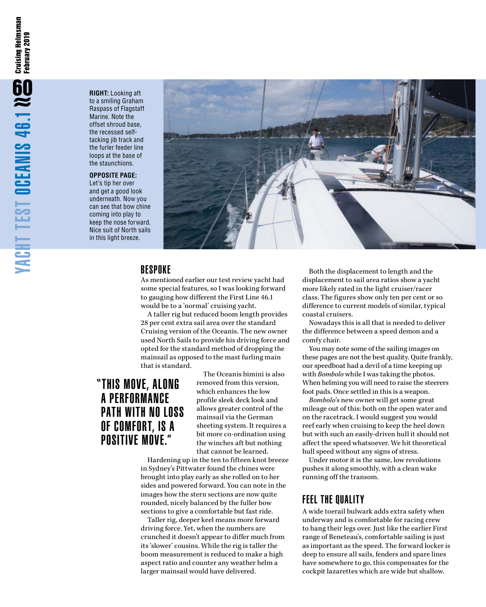**RIGHT:** Looking aft to a smiling Graham Raspass of Flagstaff Marine. Note the offset shroud base, the recessed selftacking jib track and the furler feeder line loops at the base of the staunchions.

#### **OPPOSITE PAGE:**

Let's tip her over and get a good look underneath. Now you can see that bow chine coming into play to keep the nose forward. Nice suit of North sails in this light breeze.



### **BESPOKE**

As mentioned earlier our test review yacht had some special features, so I was looking forward to gauging how different the First Line 46.1 would be to a 'normal' cruising yacht.

A taller rig but reduced boom length provides 28 per cent extra sail area over the standard Cruising version of the Oceanis. The new owner used North Sails to provide his driving force and opted for the standard method of dropping the mainsail as opposed to the mast furling main that is standard.

# "THIS MOVE, ALONG A PERFORMANCE PATH WITH NO LOSS OF COMFORT, IS A POSITIVE MOVE."

The Oceanis bimini is also removed from this version, which enhances the low profile sleek deck look and allows greater control of the mainsail via the German sheeting system. It requires a bit more co-ordination using the winches aft but nothing that cannot be learned.

Hardening up in the ten to fifteen knot breeze in Sydney's Pittwater found the chines were brought into play early as she rolled on to her sides and powered forward. You can note in the images how the stern sections are now quite rounded, nicely balanced by the fuller bow sections to give a comfortable but fast ride.

Taller rig, deeper keel means more forward driving force. Yet, when the numbers are crunched it doesn't appear to differ much from its 'slower' cousins. While the rig is taller the boom measurement is reduced to make a high aspect ratio and counter any weather helm a larger mainsail would have delivered.

Both the displacement to length and the displacement to sail area ratios show a yacht more likely rated in the light cruiser/racer class. The figures show only ten per cent or so difference to current models of similar, typical coastal cruisers.

Nowadays this is all that is needed to deliver the difference between a speed demon and a comfy chair.

You may note some of the sailing images on these pages are not the best quality. Quite frankly, our speedboat had a devil of a time keeping up with *Bombolo* while I was taking the photos. When helming you will need to raise the steerers foot pads. Once settled in this is a weapon.

*Bombolo*'s new owner will get some great mileage out of this: both on the open water and on the racetrack. I would suggest you would reef early when cruising to keep the heel down but with such an easily-driven hull it should not affect the speed whatsoever. We hit theoretical hull speed without any signs of stress.

Under motor it is the same, low revolutions pushes it along smoothly, with a clean wake running off the transom.

#### FEEL THE QUALITY

A wide toerail bulwark adds extra safety when underway and is comfortable for racing crew to hang their legs over. Just like the earlier First range of Beneteau's, comfortable sailing is just as important as the speed. The forward locker is deep to ensure all sails, fenders and spare lines have somewhere to go, this compensates for the cockpit lazarettes which are wide but shallow.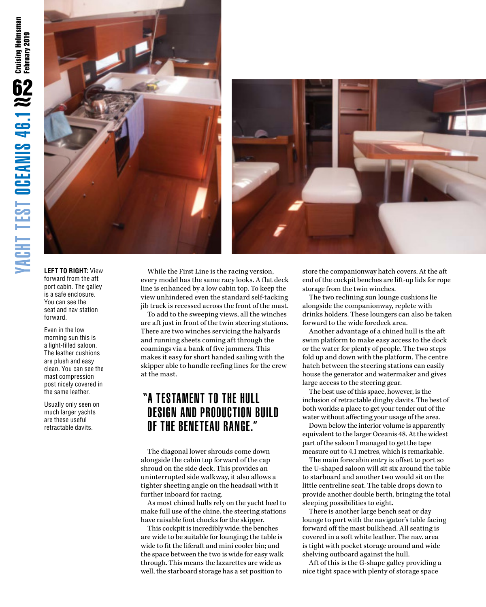



**LEFT TO RIGHT:** View forward from the aft port cabin. The galley is a safe enclosure. You can see the seat and nav station forward.

Even in the low morning sun this is a light-filled saloon. The leather cushions are plush and easy clean. You can see the mast compression post nicely covered in the same leather.

Usually only seen on much larger yachts are these useful retractable davits.

While the First Line is the racing version, every model has the same racy looks. A flat deck line is enhanced by a low cabin top. To keep the view unhindered even the standard self-tacking jib track is recessed across the front of the mast.

To add to the sweeping views, all the winches are aft just in front of the twin steering stations. There are two winches servicing the halyards and running sheets coming aft through the coamings via a bank of five jammers. This makes it easy for short handed sailing with the skipper able to handle reefing lines for the crew at the mast.

# "A TESTAMENT TO THE HULL DESIGN AND PRODUCTION BUILD OF THE BENETEAU RANGE."

The diagonal lower shrouds come down alongside the cabin top forward of the cap shroud on the side deck. This provides an uninterrupted side walkway, it also allows a tighter sheeting angle on the headsail with it further inboard for racing.

As most chined hulls rely on the yacht heel to make full use of the chine, the steering stations have raisable foot chocks for the skipper.

This cockpit is incredibly wide: the benches are wide to be suitable for lounging; the table is wide to fit the liferaft and mini cooler bin; and the space between the two is wide for easy walk through. This means the lazarettes are wide as well, the starboard storage has a set position to

store the companionway hatch covers. At the aft end of the cockpit benches are lift-up lids for rope storage from the twin winches.

The two reclining sun lounge cushions lie alongside the companionway, replete with drinks holders. These loungers can also be taken forward to the wide foredeck area.

Another advantage of a chined hull is the aft swim platform to make easy access to the dock or the water for plenty of people. The two steps fold up and down with the platform. The centre hatch between the steering stations can easily house the generator and watermaker and gives large access to the steering gear.

The best use of this space, however, is the inclusion of retractable dinghy davits. The best of both worlds: a place to get your tender out of the water without affecting your usage of the area.

Down below the interior volume is apparently equivalent to the larger Oceanis 48. At the widest part of the saloon I managed to get the tape measure out to 4.1 metres, which is remarkable.

The main forecabin entry is offset to port so the U-shaped saloon will sit six around the table to starboard and another two would sit on the little centreline seat. The table drops down to provide another double berth, bringing the total sleeping possibilities to eight.

There is another large bench seat or day lounge to port with the navigator's table facing forward off the mast bulkhead. All seating is covered in a soft white leather. The nav. area is tight with pocket storage around and wide shelving outboard against the hull.

Aft of this is the G-shape galley providing a nice tight space with plenty of storage space